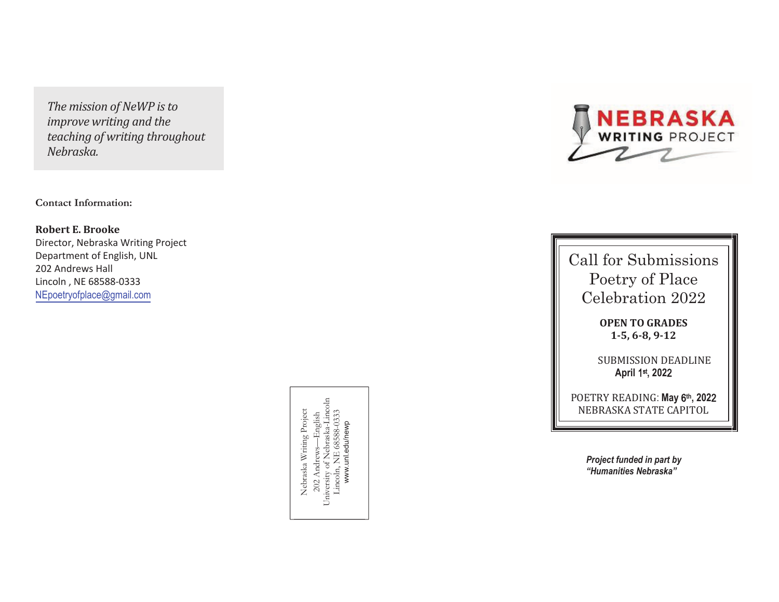*The mission of NeWP is to improve writing and the teaching of writing throughout Nebraska.*

**Contact Information:**

**Robert E. Brooke** Director, Nebraska Writing ProjectDepartment of English, UNL202 Andrews HallLincoln , NE 68588-0333NEpoetryofplace@gmail.com

> 202 Andrews—English<br>University of Nebraska-Lincoln<br>Lincoln, NE 68588-0333 University of Nebraska-Lincoln Nebraska Writing Project Nebraska Writing Project Lincoln, NE 68588-0333 202 Andrews—English www.unl.edu/newp www.unl.edu/newp



Call for Submissions Poetry of Place Celebration 2022

> **OPEN TO GRADES 1-5, 6-8, 9-12**

**SUBMISSION DEADLINE April** 1st**, 202** 2

POETRY READING: **May 6<sup>th</sup>, 2022** :NEBRASKA STATE CAPITOL

> *Project funded in part by "Humanities Nebraska"*